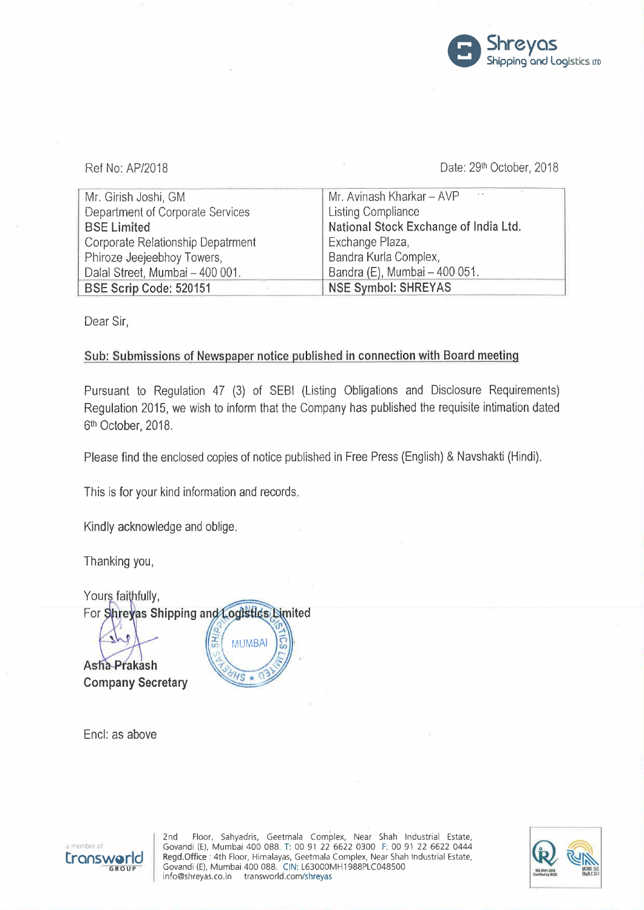

## Ref No: AP/2018 **Date: 29<sup>th</sup> October, 2018**

| $\sim$<br>Mr. Avinash Kharkar - AVP   |
|---------------------------------------|
| <b>Listing Compliance</b>             |
| National Stock Exchange of India Ltd. |
| Exchange Plaza,                       |
| Bandra Kurla Complex,                 |
| Bandra (E), Mumbai - 400 051.         |
| <b>NSE Symbol: SHREYAS</b>            |
|                                       |

Dear Sir,

## Sub: Submissions of Newspaper notice published in connection with Board meeting

Pursuant to Regulation 47 (3) of SEBI (Listing Obligations and Disclosure Requirements) Regulation 2015, we wish to inform that the Company has published the requisite intimation dated 61h October, 2018.

Please find the enclosed copies of notice published in Free Press (English) & Navshakti (Hindi).

This is for your kind information and records.

Kindly acknowledge and oblige.

Thanking you,

Yours faithfully, For Shreyas Shipping and Logistics Dimited **MUMBAI** 

Asha-Prakash **Company Secretary** 



Encl: as above



2nd Floor, Sahyadris, Geetmala Complex, Near Shah Industrial Estate, a member of Govandi (E), Mumbai 400 088 T: 00 91 22 6622 0300 F: 00 91 22 6622 0444<br>**ETONSWORL** Regd.Office : 4th Floor, Himalayas, Geetmala Complex, Near Shah Industrial Estate, GROUP Govandi (E), Mumbai 400 088. CIN: L63000MH1988PLC048500 "WI III "WI III" "WI III info@shreyas.co.in transworld.com/shreyas cum-um: fluminisme info@shreyas.co.in ในก

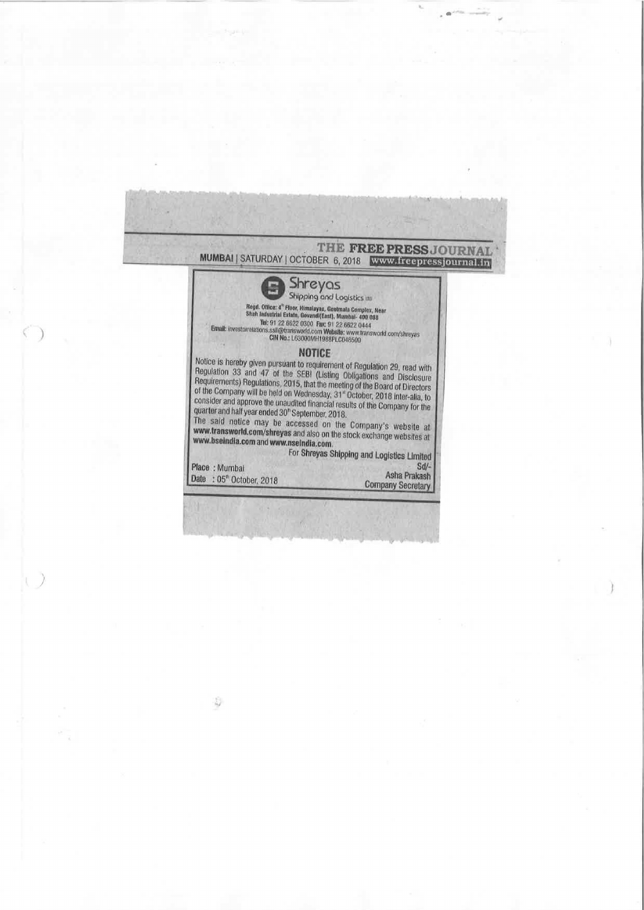| MUMBAI   SATURDAY   OCTOBER 6, 2018   WWW.freepressjournalin                                                                                                                                                                                                                                                                                                                                                                                                                                                                                                                                                                                          | THE FREE PRESS JOURNAL                             |
|-------------------------------------------------------------------------------------------------------------------------------------------------------------------------------------------------------------------------------------------------------------------------------------------------------------------------------------------------------------------------------------------------------------------------------------------------------------------------------------------------------------------------------------------------------------------------------------------------------------------------------------------------------|----------------------------------------------------|
| Shreyas                                                                                                                                                                                                                                                                                                                                                                                                                                                                                                                                                                                                                                               |                                                    |
| Regd. Office: 4" Floor, Himalayas, Gootmala Complex, Near<br>Shah Industrial Estate, Govandi(East), Mumbai- 400 088                                                                                                                                                                                                                                                                                                                                                                                                                                                                                                                                   | Shipping and Logistics in                          |
| Tel: 91 22 6622 0300 Fact 91 22 6622 0444<br>Email: investorrelations.ssil@transworld.com Website: www.transworld.com/shreyas<br>CIN No.: L63000MH1988FLC048500                                                                                                                                                                                                                                                                                                                                                                                                                                                                                       |                                                    |
| <b>NOTICE</b><br>Notice is hereby given pursuant to requirement of Regulation 29, read with<br>Regulation 33 and 47 of the SEBI (Listing Obligations and Disclosure<br>Requirements) Regulations, 2015, that the meeting of the Board of Directors<br>of the Company will be held on Wednesday, 31" October, 2018 inter-alia, to<br>consider and approve the unaudited financial results of the Company for the<br>quarter and half year ended 30" September, 2018.<br>The said notice may be accessed on the Company's website at<br>www.transworld.com/shreyas and also on the stock exchange websites at<br>www.bseindia.com and www.nseindia.com. | For Shreyas Shipping and Logistics Limited         |
| Place: Mumbai<br>Date: 05 <sup>th</sup> October, 2018                                                                                                                                                                                                                                                                                                                                                                                                                                                                                                                                                                                                 | $Sd/-$<br>Asha Prakash<br><b>Company Secretary</b> |

 $\tilde{\psi}$